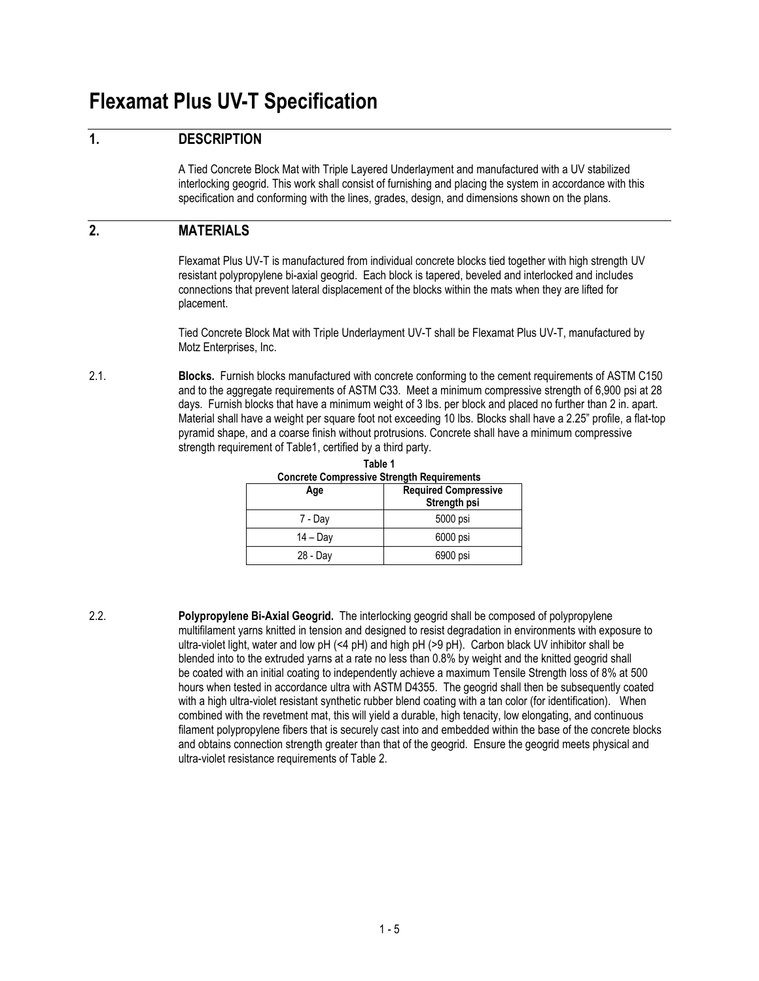# **Flexamat Plus UV-T Specification**

## **1. DESCRIPTION**

A Tied Concrete Block Mat with Triple Layered Underlayment and manufactured with a UV stabilized interlocking geogrid. This work shall consist of furnishing and placing the system in accordance with this specification and conforming with the lines, grades, design, and dimensions shown on the plans.

## **2. MATERIALS**

Flexamat Plus UV-T is manufactured from individual concrete blocks tied together with high strength UV resistant polypropylene bi-axial geogrid. Each block is tapered, beveled and interlocked and includes connections that prevent lateral displacement of the blocks within the mats when they are lifted for placement.

Tied Concrete Block Mat with Triple Underlayment UV-T shall be Flexamat Plus UV-T, manufactured by Motz Enterprises, Inc.

2.1. **Blocks.** Furnish blocks manufactured with concrete conforming to the cement requirements of ASTM C150 and to the aggregate requirements of ASTM C33. Meet a minimum compressive strength of 6,900 psi at 28 days. Furnish blocks that have a minimum weight of 3 lbs. per block and placed no further than 2 in. apart. Material shall have a weight per square foot not exceeding 10 lbs. Blocks shall have a 2.25" profile, a flat-top pyramid shape, and a coarse finish without protrusions. Concrete shall have a minimum compressive strength requirement of Table1, certified by a third party.

**Table 1** 

| rable 1<br><b>Concrete Compressive Strength Requirements</b> |                                             |  |
|--------------------------------------------------------------|---------------------------------------------|--|
| Age                                                          | <b>Required Compressive</b><br>Strength psi |  |
| 7 - Day                                                      | 5000 psi                                    |  |
| $14 - Day$                                                   | 6000 psi                                    |  |
| 28 - Day                                                     | 6900 psi                                    |  |

2.2. **Polypropylene Bi-Axial Geogrid.** The interlocking geogrid shall be composed of polypropylene multifilament yarns knitted in tension and designed to resist degradation in environments with exposure to ultra-violet light, water and low pH (<4 pH) and high pH (>9 pH). Carbon black UV inhibitor shall be blended into to the extruded yarns at a rate no less than 0.8% by weight and the knitted geogrid shall be coated with an initial coating to independently achieve a maximum Tensile Strength loss of 8% at 500 hours when tested in accordance ultra with ASTM D4355. The geogrid shall then be subsequently coated with a high ultra-violet resistant synthetic rubber blend coating with a tan color (for identification). When combined with the revetment mat, this will yield a durable, high tenacity, low elongating, and continuous filament polypropylene fibers that is securely cast into and embedded within the base of the concrete blocks and obtains connection strength greater than that of the geogrid. Ensure the geogrid meets physical and ultra-violet resistance requirements of Table 2.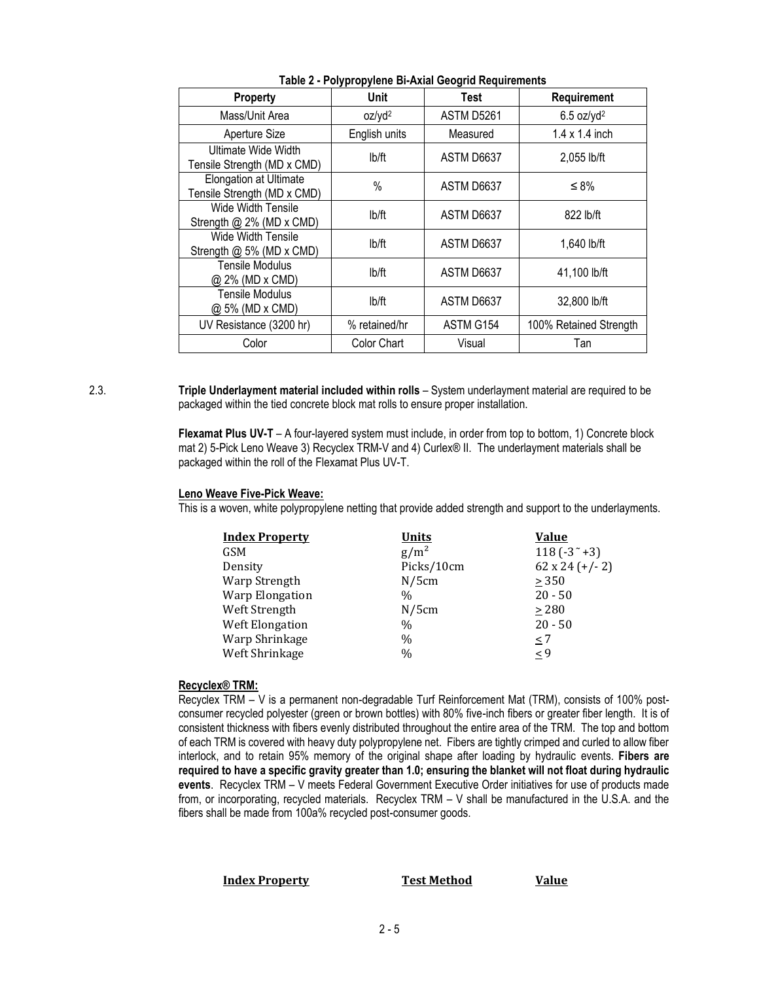| Property                                              | Unit               | Test       | Requirement              |
|-------------------------------------------------------|--------------------|------------|--------------------------|
| Mass/Unit Area                                        | oz/yd <sup>2</sup> | ASTM D5261 | $6.5$ oz/yd <sup>2</sup> |
| Aperture Size                                         | English units      | Measured   | $1.4 \times 1.4$ inch    |
| Ultimate Wide Width<br>Tensile Strength (MD x CMD)    | lb/ft              | ASTM D6637 | 2,055 lb/ft              |
| Elongation at Ultimate<br>Tensile Strength (MD x CMD) | $\%$               | ASTM D6637 | $\leq 8\%$               |
| Wide Width Tensile<br>Strength @ 2% (MD x CMD)        | lb/ft              | ASTM D6637 | 822 lb/ft                |
| Wide Width Tensile<br>Strength @ 5% (MD x CMD)        | lb/ft              | ASTM D6637 | 1,640 lb/ft              |
| <b>Tensile Modulus</b><br>@ 2% (MD x CMD)             | lb/ft              | ASTM D6637 | 41,100 lb/ft             |
| <b>Tensile Modulus</b><br>@ 5% (MD x CMD)             | lb/ft              | ASTM D6637 | 32,800 lb/ft             |
| UV Resistance (3200 hr)                               | % retained/hr      | ASTM G154  | 100% Retained Strength   |
| Color                                                 | <b>Color Chart</b> | Visual     | Tan                      |

2.3. **Triple Underlayment material included within rolls** – System underlayment material are required to be packaged within the tied concrete block mat rolls to ensure proper installation.

> **Flexamat Plus UV-T** – A four-layered system must include, in order from top to bottom, 1) Concrete block mat 2) 5-Pick Leno Weave 3) Recyclex TRM-V and 4) Curlex® II. The underlayment materials shall be packaged within the roll of the Flexamat Plus UV-T.

#### **Leno Weave Five-Pick Weave:**

This is a woven, white polypropylene netting that provide added strength and support to the underlayments.

| <b>Index Property</b>  | <b>Units</b>  | <b>Value</b>          |
|------------------------|---------------|-----------------------|
| <b>GSM</b>             | $g/m^2$       | 118 $(-3^{2}+3)$      |
| Density                | Picks/10cm    | $62 \times 24$ (+/-2) |
| Warp Strength          | $N/5$ cm      | $\geq 350$            |
| <b>Warp Elongation</b> | $\%$          | $20 - 50$             |
| Weft Strength          | N/5cm         | > 280                 |
| Weft Elongation        | $\%$          | $20 - 50$             |
| Warp Shrinkage         | $\%$          | $\leq 7$              |
| Weft Shrinkage         | $\frac{0}{0}$ | $\leq 9$              |

#### **Recyclex® TRM:**

Recyclex TRM – V is a permanent non-degradable Turf Reinforcement Mat (TRM), consists of 100% postconsumer recycled polyester (green or brown bottles) with 80% five-inch fibers or greater fiber length. It is of consistent thickness with fibers evenly distributed throughout the entire area of the TRM. The top and bottom of each TRM is covered with heavy duty polypropylene net. Fibers are tightly crimped and curled to allow fiber interlock, and to retain 95% memory of the original shape after loading by hydraulic events. **Fibers are required to have a specific gravity greater than 1.0; ensuring the blanket will not float during hydraulic events**. Recyclex TRM – V meets Federal Government Executive Order initiatives for use of products made from, or incorporating, recycled materials. Recyclex TRM – V shall be manufactured in the U.S.A. and the fibers shall be made from 100a% recycled post-consumer goods.

#### **Index Property Test Method Value**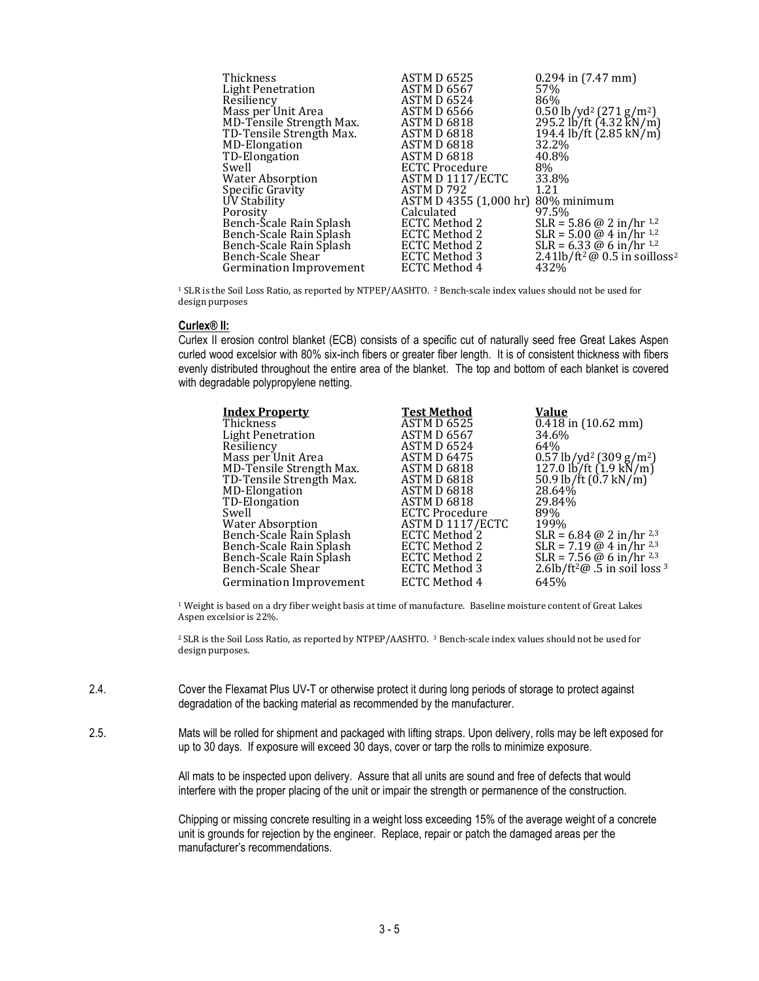| Thickness<br>Light Penetration<br>Resiliency<br>Mass per Unit Area<br>MD-Tensile Strength Max.<br>TD-Tensile Strength Max.<br>MD-Elongation<br>TD-Elongation<br>Swell<br><b>Water Absorption</b><br>Specific Gravity<br>UV Stability<br>Porosity<br>Bench-Šcale Rain Splash<br>Bench-Scale Rain Splash<br>Bench-Scale Rain Splash<br>Bench-Scale Shear | <b>ASTM D 6525</b><br>ASTM D 6567<br><b>ASTM D 6524</b><br><b>ASTM D 6566</b><br>ASTM D 6818<br>ASTM D 6818<br>ASTM D 6818<br>ASTM D 6818<br><b>ECTC Procedure</b><br>ASTM D 1117/ECTC<br>ASTM D 792<br>ASTM D 4355 (1,000 hr) 80% minimum<br>Calculated<br><b>ECTC Method 2</b><br><b>ECTC Method 2</b><br>ECTC Method 2<br>ECTC Method 3 | $0.294$ in $(7.47$ mm)<br>57%<br>86%<br>0.50 lb/yd <sup>2</sup> (271 g/m <sup>2</sup> )<br>295.2 lb/ft (4.32 kN/m)<br>194.4 lb/ft (2.85 kN/m)<br>32.2%<br>40.8%<br>8%<br>33.8%<br>1.21<br>97.5%<br>SLR = 5.86 @ 2 in/hr <sup>1,2</sup><br>SLR = 5.00 @ 4 in/hr <sup>1,2</sup><br>SLR = 6.33 @ 6 in/hr <sup>1,2</sup><br>2.41lb/ft <sup>2</sup> @ 0.5 in soilloss <sup>2</sup> |
|--------------------------------------------------------------------------------------------------------------------------------------------------------------------------------------------------------------------------------------------------------------------------------------------------------------------------------------------------------|--------------------------------------------------------------------------------------------------------------------------------------------------------------------------------------------------------------------------------------------------------------------------------------------------------------------------------------------|-------------------------------------------------------------------------------------------------------------------------------------------------------------------------------------------------------------------------------------------------------------------------------------------------------------------------------------------------------------------------------|
| Germination Improvement                                                                                                                                                                                                                                                                                                                                | ECTC Method 4                                                                                                                                                                                                                                                                                                                              | 432%                                                                                                                                                                                                                                                                                                                                                                          |

<sup>1</sup> SLR is the Soil Loss Ratio, as reported by NTPEP/AASHTO. <sup>2</sup> Bench-scale index values should not be used for design purposes

#### **Curlex® II:**

Curlex II erosion control blanket (ECB) consists of a specific cut of naturally seed free Great Lakes Aspen curled wood excelsior with 80% six-inch fibers or greater fiber length. It is of consistent thickness with fibers evenly distributed throughout the entire area of the blanket. The top and bottom of each blanket is covered with degradable polypropylene netting.

| <b>Index Property</b>    | <b>Test Method</b>    | <b>Value</b>                                                                                       |
|--------------------------|-----------------------|----------------------------------------------------------------------------------------------------|
| Thickness                | ASTM D 6525           | $0.418$ in $(10.62$ mm)                                                                            |
| Light Penetration        | ASTM D 6567           | 34.6%                                                                                              |
| Resiliency               | ASTM D 6524           | 64%                                                                                                |
| Mass per Unit Area       | ASTM D 6475           | 0.57 lb/yd <sup>2</sup> (309 g/m <sup>2</sup> )<br>127.0 lb/ft (1.9 kN/m)<br>50.9 lb/ft (0.7 kN/m) |
| MD-Tensile Strength Max. | ASTM D 6818           |                                                                                                    |
| TD-Tensile Strength Max. | ASTM D 6818           |                                                                                                    |
| MD-Elongation            | ASTM D 6818           | 28.64%                                                                                             |
| TD-Elongation            | ASTM D 6818           | 29.84%                                                                                             |
| Swell                    | <b>ECTC Procedure</b> | 89%                                                                                                |
| Water Absorption         | ASTM D 1117/ECTC      | 199%                                                                                               |
| Bench-Scale Rain Splash  | ECTC Method 2         | $SLR = 6.84 \omega$ 2 in/hr <sup>2,3</sup>                                                         |
| Bench-Scale Rain Splash  | <b>ECTC Method 2</b>  | $SLR = 7.19 \omega 4$ in/hr <sup>2,3</sup>                                                         |
| Bench-Scale Rain Splash  | <b>ECTC Method 2</b>  | $SLR = 7.56 \,\omega\ 6 \text{ in/hr}^{2,3}$                                                       |
| Bench-Scale Shear        | ECTC Method 3         | 2.6lb/ft <sup>2</sup> $@.\overline{5}$ in soil loss <sup>3</sup>                                   |
| Germination Improvement  | ECTC Method 4         | 645%                                                                                               |

 $1$  Weight is based on a dry fiber weight basis at time of manufacture. Baseline moisture content of Great Lakes Aspen excelsior is 22%.

<sup>2</sup> SLR is the Soil Loss Ratio, as reported by NTPEP/AASHTO. <sup>3</sup> Bench-scale index values should not be used for design purposes.

- 2.4. Cover the Flexamat Plus UV-T or otherwise protect it during long periods of storage to protect against degradation of the backing material as recommended by the manufacturer.
- 2.5. Mats will be rolled for shipment and packaged with lifting straps. Upon delivery, rolls may be left exposed for up to 30 days. If exposure will exceed 30 days, cover or tarp the rolls to minimize exposure.

All mats to be inspected upon delivery. Assure that all units are sound and free of defects that would interfere with the proper placing of the unit or impair the strength or permanence of the construction.

Chipping or missing concrete resulting in a weight loss exceeding 15% of the average weight of a concrete unit is grounds for rejection by the engineer. Replace, repair or patch the damaged areas per the manufacturer's recommendations.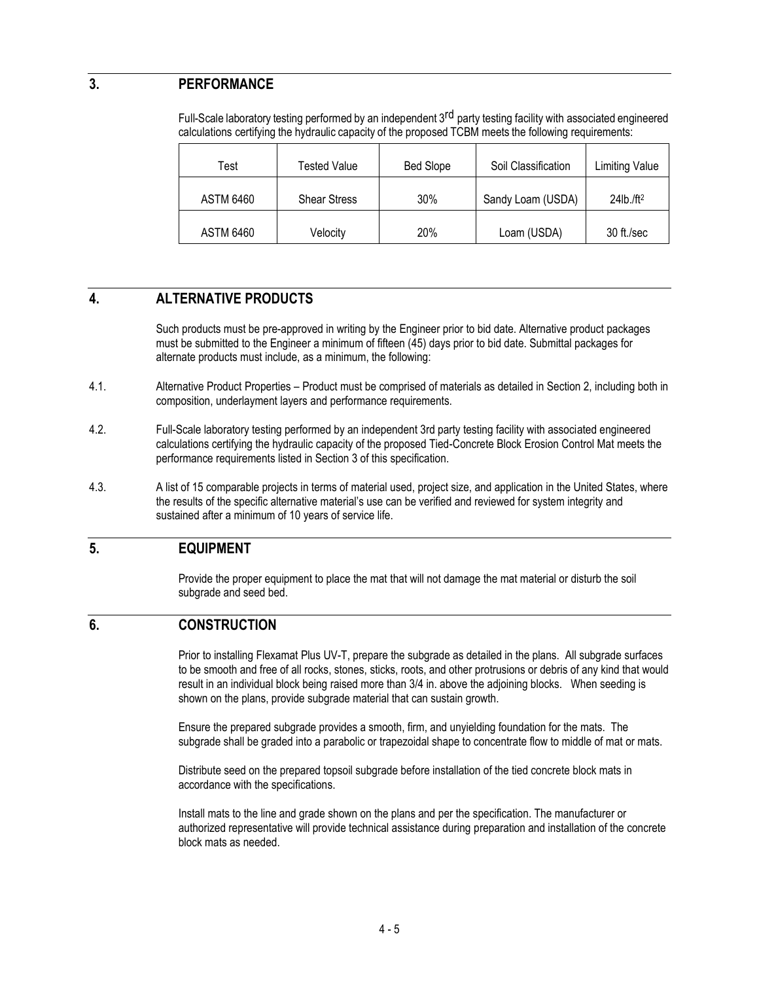## **3. PERFORMANCE**

Full-Scale laboratory testing performed by an independent 3<sup>rd</sup> party testing facility with associated engineered calculations certifying the hydraulic capacity of the proposed TCBM meets the following requirements:

| Test             | Tested Value        | <b>Bed Slope</b> | Soil Classification | <b>Limiting Value</b>    |
|------------------|---------------------|------------------|---------------------|--------------------------|
| ASTM 6460        | <b>Shear Stress</b> | 30%              | Sandy Loam (USDA)   | $24$ lb./ft <sup>2</sup> |
| <b>ASTM 6460</b> | Velocity            | 20%              | Loam (USDA)         | 30 ft./sec               |

## **4. ALTERNATIVE PRODUCTS**

Such products must be pre-approved in writing by the Engineer prior to bid date. Alternative product packages must be submitted to the Engineer a minimum of fifteen (45) days prior to bid date. Submittal packages for alternate products must include, as a minimum, the following:

- 4.1. Alternative Product Properties Product must be comprised of materials as detailed in Section 2, including both in composition, underlayment layers and performance requirements.
- 4.2. Full-Scale laboratory testing performed by an independent 3rd party testing facility with associated engineered calculations certifying the hydraulic capacity of the proposed Tied-Concrete Block Erosion Control Mat meets the performance requirements listed in Section 3 of this specification.
- 4.3. A list of 15 comparable projects in terms of material used, project size, and application in the United States, where the results of the specific alternative material's use can be verified and reviewed for system integrity and sustained after a minimum of 10 years of service life.

## **5. EQUIPMENT**

Provide the proper equipment to place the mat that will not damage the mat material or disturb the soil subgrade and seed bed.

#### **6. CONSTRUCTION**

Prior to installing Flexamat Plus UV-T, prepare the subgrade as detailed in the plans. All subgrade surfaces to be smooth and free of all rocks, stones, sticks, roots, and other protrusions or debris of any kind that would result in an individual block being raised more than 3/4 in. above the adjoining blocks. When seeding is shown on the plans, provide subgrade material that can sustain growth.

Ensure the prepared subgrade provides a smooth, firm, and unyielding foundation for the mats. The subgrade shall be graded into a parabolic or trapezoidal shape to concentrate flow to middle of mat or mats.

Distribute seed on the prepared topsoil subgrade before installation of the tied concrete block mats in accordance with the specifications.

Install mats to the line and grade shown on the plans and per the specification. The manufacturer or authorized representative will provide technical assistance during preparation and installation of the concrete block mats as needed.